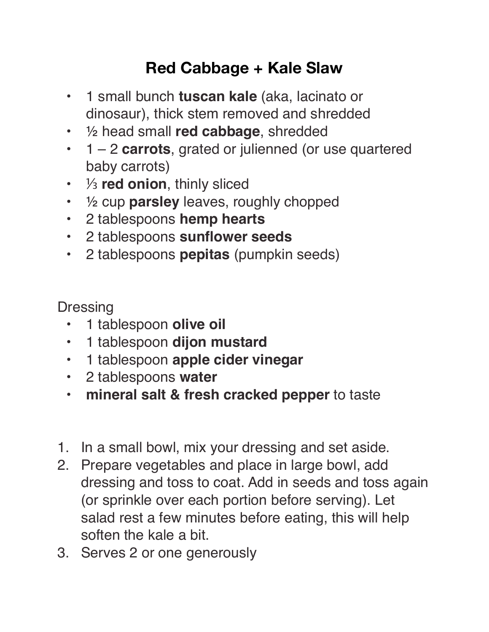## **Red Cabbage + Kale Slaw**

- 1 small bunch **tuscan kale** (aka, lacinato or dinosaur), thick stem removed and shredded
- ½ head small **red cabbage**, shredded
- 1 2 **carrots**, grated or julienned (or use quartered baby carrots)
- ⅓ **red onion**, thinly sliced
- ½ cup **parsley** leaves, roughly chopped
- 2 tablespoons **hemp hearts**
- 2 tablespoons **sunflower seeds**
- 2 tablespoons **pepitas** (pumpkin seeds)

**Dressing** 

- **•** 1 tablespoon **olive oil**
- **•** 1 tablespoon **dijon mustard**
- **•** 1 tablespoon **apple cider vinegar**
- **•** 2 tablespoons **water**
- **• mineral salt & fresh cracked pepper** to taste
- 1. In a small bowl, mix your dressing and set aside.
- 2. Prepare vegetables and place in large bowl, add dressing and toss to coat. Add in seeds and toss again (or sprinkle over each portion before serving). Let salad rest a few minutes before eating, this will help soften the kale a bit.
- 3. Serves 2 or one generously